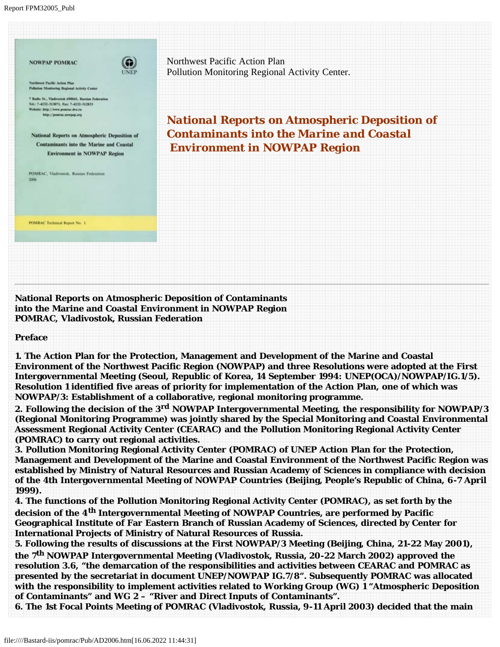

**National Reports on Atmospheric Deposition of Contaminants into the Marine and Coastal Environment in NOWPAP Region POMRAC, Vladivostok, Russian Federation**

## **Preface**

**1. The Action Plan for the Protection, Management and Development of the Marine and Coastal Environment of the Northwest Pacific Region (NOWPAP) and three Resolutions were adopted at the First Intergovernmental Meeting (Seoul, Republic of Korea, 14 September 1994: UNEP(OCA)/NOWPAP/IG.1/5). Resolution 1 identified five areas of priority for implementation of the Action Plan, one of which was NOWPAP/3: Establishment of a collaborative, regional monitoring programme.**

**2. Following the decision of the 3rd NOWPAP Intergovernmental Meeting, the responsibility for NOWPAP/3 (Regional Monitoring Programme) was jointly shared by the Special Monitoring and Coastal Environmental Assessment Regional Activity Center (CEARAC) and the Pollution Monitoring Regional Activity Center (POMRAC) to carry out regional activities.**

**3. Pollution Monitoring Regional Activity Center (POMRAC) of UNEP Action Plan for the Protection, Management and Development of the Marine and Coastal Environment of the Northwest Pacific Region was established by Ministry of Natural Resources and Russian Academy of Sciences in compliance with decision of the 4th Intergovernmental Meeting of NOWPAP Countries (Beijing, People's Republic of China, 6-7 April 1999).** 

**4. The functions of the Pollution Monitoring Regional Activity Center (POMRAC), as set forth by the decision of the 4th Intergovernmental Meeting of NOWPAP Countries, are performed by Pacific Geographical Institute of Far Eastern Branch of Russian Academy of Sciences, directed by Center for International Projects of Ministry of Natural Resources of Russia.**

**5. Following the results of discussions at the First NOWPAP/3 Meeting (Beijing, China, 21-22 May 2001), the 7th NOWPAP Intergovernmental Meeting (Vladivostok, Russia, 20-22 March 2002) approved the resolution 3.6, "the demarcation of the responsibilities and activities between CEARAC and POMRAC as presented by the secretariat in document UNEP/NOWPAP IG.7/8". Subsequently POMRAC was allocated with the responsibility to implement activities related to Working Group (WG) 1 "Atmospheric Deposition of Contaminants" and WG 2 – "River and Direct Inputs of Contaminants".** 

**6. The 1st Focal Points Meeting of POMRAC (Vladivostok, Russia, 9-11 April 2003) decided that the main**